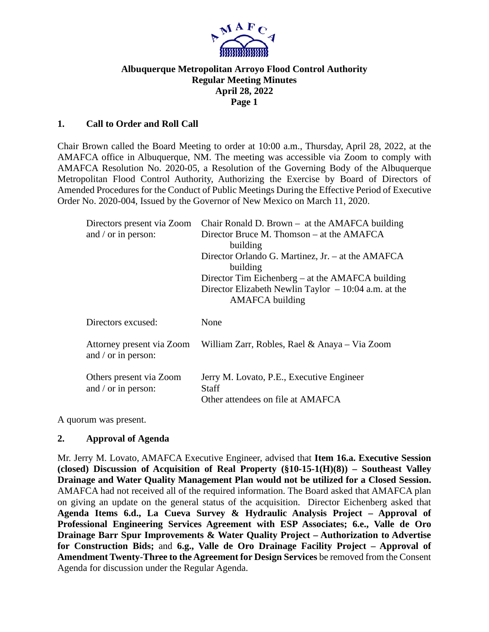

## **Albuquerque Metropolitan Arroyo Flood Control Authority Regular Meeting Minutes April 28, 2022 Page 1**

### **1. Call to Order and Roll Call**

Chair Brown called the Board Meeting to order at 10:00 a.m., Thursday, April 28, 2022, at the AMAFCA office in Albuquerque, NM. The meeting was accessible via Zoom to comply with AMAFCA Resolution No. 2020-05, a Resolution of the Governing Body of the Albuquerque Metropolitan Flood Control Authority, Authorizing the Exercise by Board of Directors of Amended Procedures for the Conduct of Public Meetings During the Effective Period of Executive Order No. 2020-004, Issued by the Governor of New Mexico on March 11, 2020.

| Directors present via Zoom<br>and / or in person: | Chair Ronald D. Brown $-$ at the AMAFCA building<br>Director Bruce M. Thomson – at the AMAFCA<br>building |  |  |
|---------------------------------------------------|-----------------------------------------------------------------------------------------------------------|--|--|
|                                                   | Director Orlando G. Martinez, Jr. – at the AMAFCA<br>building                                             |  |  |
|                                                   | Director Tim Eichenberg $-$ at the AMAFCA building                                                        |  |  |
|                                                   | Director Elizabeth Newlin Taylor $-10:04$ a.m. at the<br><b>AMAFCA</b> building                           |  |  |
| Directors excused:                                | None                                                                                                      |  |  |
| Attorney present via Zoom<br>and / or in person:  | William Zarr, Robles, Rael & Anaya – Via Zoom                                                             |  |  |
|                                                   |                                                                                                           |  |  |

A quorum was present.

#### **2. Approval of Agenda**

Mr. Jerry M. Lovato, AMAFCA Executive Engineer, advised that **Item 16.a. Executive Session (closed) Discussion of Acquisition of Real Property (§10-15-1(H)(8)) – Southeast Valley Drainage and Water Quality Management Plan would not be utilized for a Closed Session.**  AMAFCA had not received all of the required information. The Board asked that AMAFCA plan on giving an update on the general status of the acquisition. Director Eichenberg asked that **Agenda Items 6.d., La Cueva Survey & Hydraulic Analysis Project – Approval of Professional Engineering Services Agreement with ESP Associates; 6.e., Valle de Oro Drainage Barr Spur Improvements & Water Quality Project – Authorization to Advertise for Construction Bids;** and **6.g., Valle de Oro Drainage Facility Project – Approval of Amendment Twenty-Three to the Agreement for Design Services** be removed from the Consent Agenda for discussion under the Regular Agenda.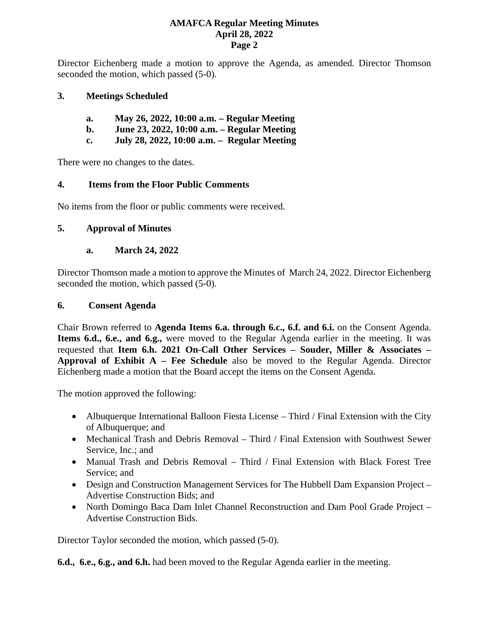Director Eichenberg made a motion to approve the Agenda, as amended. Director Thomson seconded the motion, which passed (5-0).

### **3. Meetings Scheduled**

| May 26, 2022, 10:00 a.m. – Regular Meeting | a. |  |  |  |  |  |
|--------------------------------------------|----|--|--|--|--|--|
|--------------------------------------------|----|--|--|--|--|--|

- **b. June 23, 2022, 10:00 a.m. – Regular Meeting**
- **c. July 28, 2022, 10:00 a.m. Regular Meeting**

There were no changes to the dates.

### **4. Items from the Floor Public Comments**

No items from the floor or public comments were received.

### **5. Approval of Minutes**

### **a. March 24, 2022**

Director Thomson made a motion to approve the Minutes of March 24, 2022. Director Eichenberg seconded the motion, which passed (5-0).

### **6. Consent Agenda**

Chair Brown referred to **Agenda Items 6.a. through 6.c., 6.f. and 6.i.** on the Consent Agenda. **Items 6.d., 6.e., and 6.g.,** were moved to the Regular Agenda earlier in the meeting. It was requested that **Item 6.h. 2021 On-Call Other Services – Souder, Miller & Associates – Approval of Exhibit A – Fee Schedule** also be moved to the Regular Agenda. Director Eichenberg made a motion that the Board accept the items on the Consent Agenda.

The motion approved the following:

- Albuquerque International Balloon Fiesta License Third / Final Extension with the City of Albuquerque; and
- Mechanical Trash and Debris Removal Third / Final Extension with Southwest Sewer Service, Inc.; and
- Manual Trash and Debris Removal Third / Final Extension with Black Forest Tree Service; and
- Design and Construction Management Services for The Hubbell Dam Expansion Project Advertise Construction Bids; and
- North Domingo Baca Dam Inlet Channel Reconstruction and Dam Pool Grade Project Advertise Construction Bids.

Director Taylor seconded the motion, which passed (5-0).

**6.d., 6.e., 6.g., and 6.h.** had been moved to the Regular Agenda earlier in the meeting.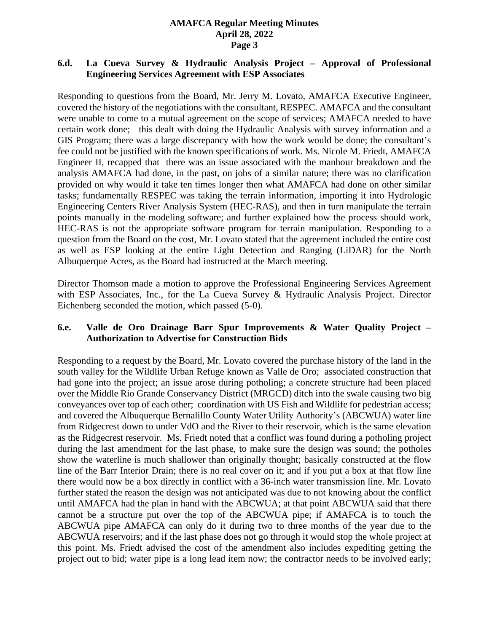## **6.d. La Cueva Survey & Hydraulic Analysis Project – Approval of Professional Engineering Services Agreement with ESP Associates**

Responding to questions from the Board, Mr. Jerry M. Lovato, AMAFCA Executive Engineer, covered the history of the negotiations with the consultant, RESPEC. AMAFCA and the consultant were unable to come to a mutual agreement on the scope of services; AMAFCA needed to have certain work done; this dealt with doing the Hydraulic Analysis with survey information and a GIS Program; there was a large discrepancy with how the work would be done; the consultant's fee could not be justified with the known specifications of work. Ms. Nicole M. Friedt, AMAFCA Engineer II, recapped that there was an issue associated with the manhour breakdown and the analysis AMAFCA had done, in the past, on jobs of a similar nature; there was no clarification provided on why would it take ten times longer then what AMAFCA had done on other similar tasks; fundamentally RESPEC was taking the terrain information, importing it into Hydrologic Engineering Centers River Analysis System (HEC-RAS), and then in turn manipulate the terrain points manually in the modeling software; and further explained how the process should work, HEC-RAS is not the appropriate software program for terrain manipulation. Responding to a question from the Board on the cost, Mr. Lovato stated that the agreement included the entire cost as well as ESP looking at the entire Light Detection and Ranging (LiDAR) for the North Albuquerque Acres, as the Board had instructed at the March meeting.

Director Thomson made a motion to approve the Professional Engineering Services Agreement with ESP Associates, Inc., for the La Cueva Survey & Hydraulic Analysis Project. Director Eichenberg seconded the motion, which passed (5-0).

### **6.e. Valle de Oro Drainage Barr Spur Improvements & Water Quality Project – Authorization to Advertise for Construction Bids**

Responding to a request by the Board, Mr. Lovato covered the purchase history of the land in the south valley for the Wildlife Urban Refuge known as Valle de Oro; associated construction that had gone into the project; an issue arose during potholing; a concrete structure had been placed over the Middle Rio Grande Conservancy District (MRGCD) ditch into the swale causing two big conveyances over top of each other; coordination with US Fish and Wildlife for pedestrian access; and covered the Albuquerque Bernalillo County Water Utility Authority's (ABCWUA) water line from Ridgecrest down to under VdO and the River to their reservoir, which is the same elevation as the Ridgecrest reservoir. Ms. Friedt noted that a conflict was found during a potholing project during the last amendment for the last phase, to make sure the design was sound; the potholes show the waterline is much shallower than originally thought; basically constructed at the flow line of the Barr Interior Drain; there is no real cover on it; and if you put a box at that flow line there would now be a box directly in conflict with a 36-inch water transmission line. Mr. Lovato further stated the reason the design was not anticipated was due to not knowing about the conflict until AMAFCA had the plan in hand with the ABCWUA; at that point ABCWUA said that there cannot be a structure put over the top of the ABCWUA pipe; if AMAFCA is to touch the ABCWUA pipe AMAFCA can only do it during two to three months of the year due to the ABCWUA reservoirs; and if the last phase does not go through it would stop the whole project at this point. Ms. Friedt advised the cost of the amendment also includes expediting getting the project out to bid; water pipe is a long lead item now; the contractor needs to be involved early;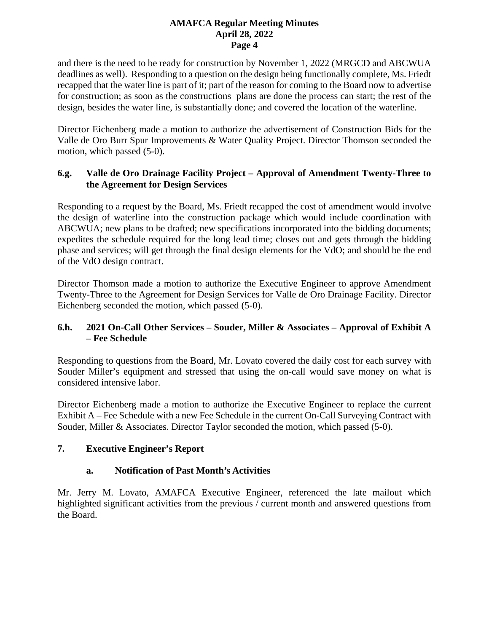and there is the need to be ready for construction by November 1, 2022 (MRGCD and ABCWUA deadlines as well). Responding to a question on the design being functionally complete, Ms. Friedt recapped that the water line is part of it; part of the reason for coming to the Board now to advertise for construction; as soon as the constructions plans are done the process can start; the rest of the design, besides the water line, is substantially done; and covered the location of the waterline.

Director Eichenberg made a motion to authorize the advertisement of Construction Bids for the Valle de Oro Burr Spur Improvements & Water Quality Project. Director Thomson seconded the motion, which passed (5-0).

## **6.g. Valle de Oro Drainage Facility Project – Approval of Amendment Twenty-Three to the Agreement for Design Services**

Responding to a request by the Board, Ms. Friedt recapped the cost of amendment would involve the design of waterline into the construction package which would include coordination with ABCWUA; new plans to be drafted; new specifications incorporated into the bidding documents; expedites the schedule required for the long lead time; closes out and gets through the bidding phase and services; will get through the final design elements for the VdO; and should be the end of the VdO design contract.

Director Thomson made a motion to authorize the Executive Engineer to approve Amendment Twenty-Three to the Agreement for Design Services for Valle de Oro Drainage Facility. Director Eichenberg seconded the motion, which passed (5-0).

# **6.h. 2021 On-Call Other Services – Souder, Miller & Associates – Approval of Exhibit A – Fee Schedule**

Responding to questions from the Board, Mr. Lovato covered the daily cost for each survey with Souder Miller's equipment and stressed that using the on-call would save money on what is considered intensive labor.

Director Eichenberg made a motion to authorize the Executive Engineer to replace the current Exhibit A – Fee Schedule with a new Fee Schedule in the current On-Call Surveying Contract with Souder, Miller & Associates. Director Taylor seconded the motion, which passed (5-0).

# **7. Executive Engineer's Report**

## **a. Notification of Past Month's Activities**

Mr. Jerry M. Lovato, AMAFCA Executive Engineer, referenced the late mailout which highlighted significant activities from the previous / current month and answered questions from the Board.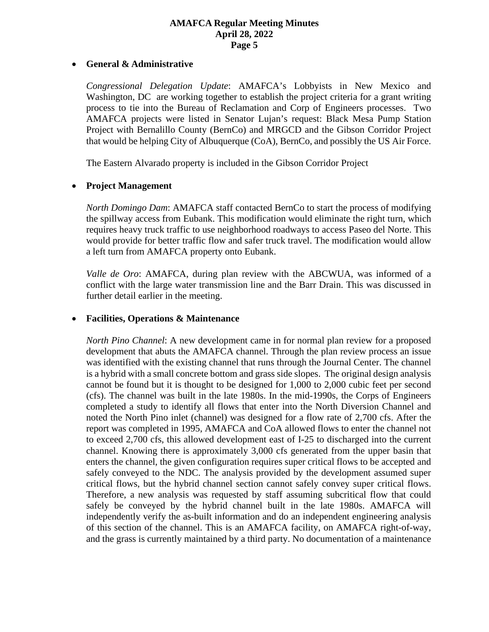#### • **General & Administrative**

*Congressional Delegation Update*: AMAFCA's Lobbyists in New Mexico and Washington, DC are working together to establish the project criteria for a grant writing process to tie into the Bureau of Reclamation and Corp of Engineers processes. Two AMAFCA projects were listed in Senator Lujan's request: Black Mesa Pump Station Project with Bernalillo County (BernCo) and MRGCD and the Gibson Corridor Project that would be helping City of Albuquerque (CoA), BernCo, and possibly the US Air Force.

The Eastern Alvarado property is included in the Gibson Corridor Project

#### • **Project Management**

*North Domingo Dam*: AMAFCA staff contacted BernCo to start the process of modifying the spillway access from Eubank. This modification would eliminate the right turn, which requires heavy truck traffic to use neighborhood roadways to access Paseo del Norte. This would provide for better traffic flow and safer truck travel. The modification would allow a left turn from AMAFCA property onto Eubank.

*Valle de Oro*: AMAFCA, during plan review with the ABCWUA, was informed of a conflict with the large water transmission line and the Barr Drain. This was discussed in further detail earlier in the meeting.

#### • **Facilities, Operations & Maintenance**

*North Pino Channel*: A new development came in for normal plan review for a proposed development that abuts the AMAFCA channel. Through the plan review process an issue was identified with the existing channel that runs through the Journal Center. The channel is a hybrid with a small concrete bottom and grass side slopes. The original design analysis cannot be found but it is thought to be designed for 1,000 to 2,000 cubic feet per second (cfs). The channel was built in the late 1980s. In the mid-1990s, the Corps of Engineers completed a study to identify all flows that enter into the North Diversion Channel and noted the North Pino inlet (channel) was designed for a flow rate of 2,700 cfs. After the report was completed in 1995, AMAFCA and CoA allowed flows to enter the channel not to exceed 2,700 cfs, this allowed development east of I-25 to discharged into the current channel. Knowing there is approximately 3,000 cfs generated from the upper basin that enters the channel, the given configuration requires super critical flows to be accepted and safely conveyed to the NDC. The analysis provided by the development assumed super critical flows, but the hybrid channel section cannot safely convey super critical flows. Therefore, a new analysis was requested by staff assuming subcritical flow that could safely be conveyed by the hybrid channel built in the late 1980s. AMAFCA will independently verify the as-built information and do an independent engineering analysis of this section of the channel. This is an AMAFCA facility, on AMAFCA right-of-way, and the grass is currently maintained by a third party. No documentation of a maintenance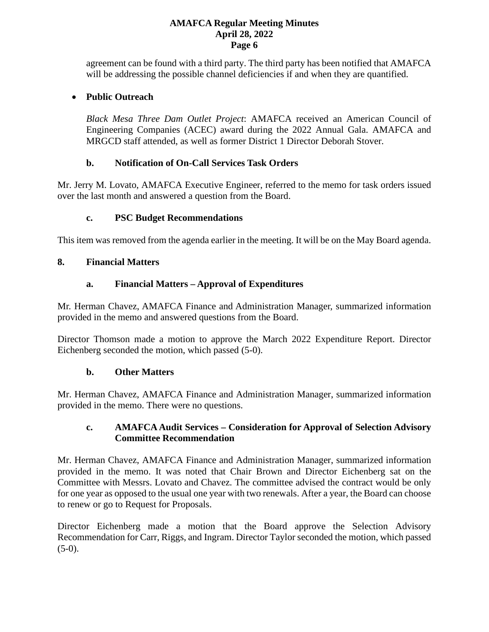agreement can be found with a third party. The third party has been notified that AMAFCA will be addressing the possible channel deficiencies if and when they are quantified.

## • **Public Outreach**

*Black Mesa Three Dam Outlet Project*: AMAFCA received an American Council of Engineering Companies (ACEC) award during the 2022 Annual Gala. AMAFCA and MRGCD staff attended, as well as former District 1 Director Deborah Stover.

## **b. Notification of On-Call Services Task Orders**

Mr. Jerry M. Lovato, AMAFCA Executive Engineer, referred to the memo for task orders issued over the last month and answered a question from the Board.

# **c. PSC Budget Recommendations**

This item was removed from the agenda earlier in the meeting. It will be on the May Board agenda.

# **8. Financial Matters**

# **a. Financial Matters – Approval of Expenditures**

Mr. Herman Chavez, AMAFCA Finance and Administration Manager, summarized information provided in the memo and answered questions from the Board.

Director Thomson made a motion to approve the March 2022 Expenditure Report. Director Eichenberg seconded the motion, which passed (5-0).

## **b. Other Matters**

Mr. Herman Chavez, AMAFCA Finance and Administration Manager, summarized information provided in the memo. There were no questions.

## **c. AMAFCA Audit Services – Consideration for Approval of Selection Advisory Committee Recommendation**

Mr. Herman Chavez, AMAFCA Finance and Administration Manager, summarized information provided in the memo. It was noted that Chair Brown and Director Eichenberg sat on the Committee with Messrs. Lovato and Chavez. The committee advised the contract would be only for one year as opposed to the usual one year with two renewals. After a year, the Board can choose to renew or go to Request for Proposals.

Director Eichenberg made a motion that the Board approve the Selection Advisory Recommendation for Carr, Riggs, and Ingram. Director Taylor seconded the motion, which passed  $(5-0).$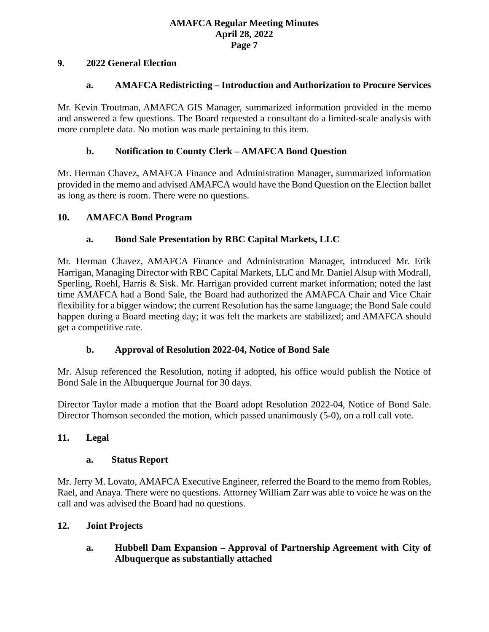### **9. 2022 General Election**

### **a. AMAFCA Redistricting – Introduction and Authorization to Procure Services**

Mr. Kevin Troutman, AMAFCA GIS Manager, summarized information provided in the memo and answered a few questions. The Board requested a consultant do a limited-scale analysis with more complete data. No motion was made pertaining to this item.

### **b. Notification to County Clerk – AMAFCA Bond Question**

Mr. Herman Chavez, AMAFCA Finance and Administration Manager, summarized information provided in the memo and advised AMAFCA would have the Bond Question on the Election ballet as long as there is room. There were no questions.

### **10. AMAFCA Bond Program**

## **a. Bond Sale Presentation by RBC Capital Markets, LLC**

Mr. Herman Chavez, AMAFCA Finance and Administration Manager, introduced Mr. Erik Harrigan, Managing Director with RBC Capital Markets, LLC and Mr. Daniel Alsup with Modrall, Sperling, Roehl, Harris & Sisk. Mr. Harrigan provided current market information; noted the last time AMAFCA had a Bond Sale, the Board had authorized the AMAFCA Chair and Vice Chair flexibility for a bigger window; the current Resolution has the same language; the Bond Sale could happen during a Board meeting day; it was felt the markets are stabilized; and AMAFCA should get a competitive rate.

#### **b. Approval of Resolution 2022-04, Notice of Bond Sale**

Mr. Alsup referenced the Resolution, noting if adopted, his office would publish the Notice of Bond Sale in the Albuquerque Journal for 30 days.

Director Taylor made a motion that the Board adopt Resolution 2022-04, Notice of Bond Sale. Director Thomson seconded the motion, which passed unanimously (5-0), on a roll call vote.

## **11. Legal**

#### **a. Status Report**

Mr. Jerry M. Lovato, AMAFCA Executive Engineer, referred the Board to the memo from Robles, Rael, and Anaya. There were no questions. Attorney William Zarr was able to voice he was on the call and was advised the Board had no questions.

#### **12. Joint Projects**

**a. Hubbell Dam Expansion – Approval of Partnership Agreement with City of Albuquerque as substantially attached**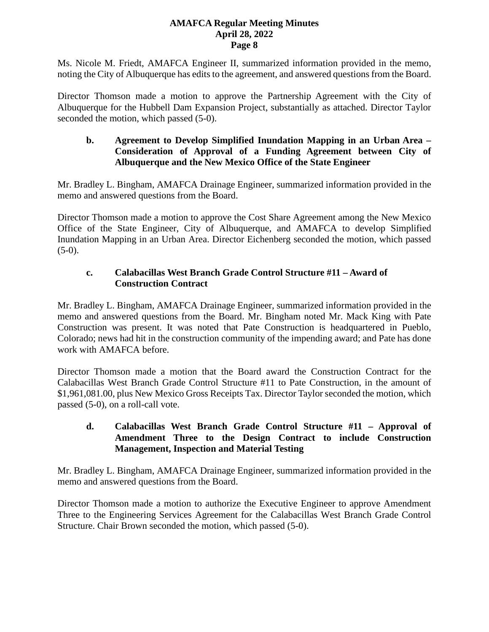Ms. Nicole M. Friedt, AMAFCA Engineer II, summarized information provided in the memo, noting the City of Albuquerque has edits to the agreement, and answered questions from the Board.

Director Thomson made a motion to approve the Partnership Agreement with the City of Albuquerque for the Hubbell Dam Expansion Project, substantially as attached. Director Taylor seconded the motion, which passed (5-0).

### **b. Agreement to Develop Simplified Inundation Mapping in an Urban Area – Consideration of Approval of a Funding Agreement between City of Albuquerque and the New Mexico Office of the State Engineer**

Mr. Bradley L. Bingham, AMAFCA Drainage Engineer, summarized information provided in the memo and answered questions from the Board.

Director Thomson made a motion to approve the Cost Share Agreement among the New Mexico Office of the State Engineer, City of Albuquerque, and AMAFCA to develop Simplified Inundation Mapping in an Urban Area. Director Eichenberg seconded the motion, which passed  $(5-0).$ 

# **c. Calabacillas West Branch Grade Control Structure #11 – Award of Construction Contract**

Mr. Bradley L. Bingham, AMAFCA Drainage Engineer, summarized information provided in the memo and answered questions from the Board. Mr. Bingham noted Mr. Mack King with Pate Construction was present. It was noted that Pate Construction is headquartered in Pueblo, Colorado; news had hit in the construction community of the impending award; and Pate has done work with AMAFCA before.

Director Thomson made a motion that the Board award the Construction Contract for the Calabacillas West Branch Grade Control Structure #11 to Pate Construction, in the amount of \$1,961,081.00, plus New Mexico Gross Receipts Tax. Director Taylor seconded the motion, which passed (5-0), on a roll-call vote.

## **d. Calabacillas West Branch Grade Control Structure #11 – Approval of Amendment Three to the Design Contract to include Construction Management, Inspection and Material Testing**

Mr. Bradley L. Bingham, AMAFCA Drainage Engineer, summarized information provided in the memo and answered questions from the Board.

Director Thomson made a motion to authorize the Executive Engineer to approve Amendment Three to the Engineering Services Agreement for the Calabacillas West Branch Grade Control Structure. Chair Brown seconded the motion, which passed (5-0).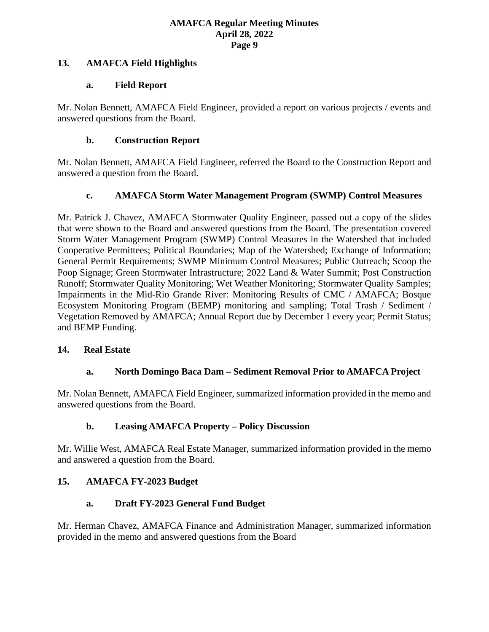### **13. AMAFCA Field Highlights**

### **a. Field Report**

Mr. Nolan Bennett, AMAFCA Field Engineer, provided a report on various projects / events and answered questions from the Board.

### **b. Construction Report**

Mr. Nolan Bennett, AMAFCA Field Engineer, referred the Board to the Construction Report and answered a question from the Board.

## **c. AMAFCA Storm Water Management Program (SWMP) Control Measures**

Mr. Patrick J. Chavez, AMAFCA Stormwater Quality Engineer, passed out a copy of the slides that were shown to the Board and answered questions from the Board. The presentation covered Storm Water Management Program (SWMP) Control Measures in the Watershed that included Cooperative Permittees; Political Boundaries; Map of the Watershed; Exchange of Information; General Permit Requirements; SWMP Minimum Control Measures; Public Outreach; Scoop the Poop Signage; Green Stormwater Infrastructure; 2022 Land & Water Summit; Post Construction Runoff; Stormwater Quality Monitoring; Wet Weather Monitoring; Stormwater Quality Samples; Impairments in the Mid-Rio Grande River: Monitoring Results of CMC / AMAFCA; Bosque Ecosystem Monitoring Program (BEMP) monitoring and sampling; Total Trash / Sediment / Vegetation Removed by AMAFCA; Annual Report due by December 1 every year; Permit Status; and BEMP Funding.

#### **14. Real Estate**

## **a. North Domingo Baca Dam – Sediment Removal Prior to AMAFCA Project**

Mr. Nolan Bennett, AMAFCA Field Engineer, summarized information provided in the memo and answered questions from the Board.

## **b. Leasing AMAFCA Property – Policy Discussion**

Mr. Willie West, AMAFCA Real Estate Manager, summarized information provided in the memo and answered a question from the Board.

## **15. AMAFCA FY-2023 Budget**

## **a. Draft FY-2023 General Fund Budget**

Mr. Herman Chavez, AMAFCA Finance and Administration Manager, summarized information provided in the memo and answered questions from the Board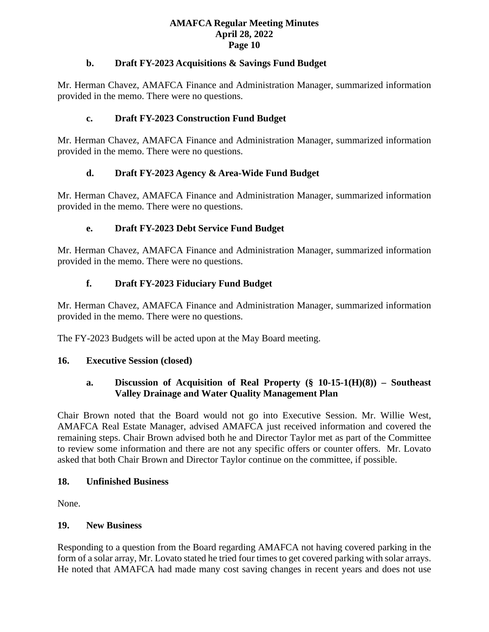### **b. Draft FY-2023 Acquisitions & Savings Fund Budget**

Mr. Herman Chavez, AMAFCA Finance and Administration Manager, summarized information provided in the memo. There were no questions.

## **c. Draft FY-2023 Construction Fund Budget**

Mr. Herman Chavez, AMAFCA Finance and Administration Manager, summarized information provided in the memo. There were no questions.

# **d. Draft FY-2023 Agency & Area-Wide Fund Budget**

Mr. Herman Chavez, AMAFCA Finance and Administration Manager, summarized information provided in the memo. There were no questions.

# **e. Draft FY-2023 Debt Service Fund Budget**

Mr. Herman Chavez, AMAFCA Finance and Administration Manager, summarized information provided in the memo. There were no questions.

# **f. Draft FY-2023 Fiduciary Fund Budget**

Mr. Herman Chavez, AMAFCA Finance and Administration Manager, summarized information provided in the memo. There were no questions.

The FY-2023 Budgets will be acted upon at the May Board meeting.

## **16. Executive Session (closed)**

# **a. Discussion of Acquisition of Real Property (§ 10-15-1(H)(8)) – Southeast Valley Drainage and Water Quality Management Plan**

Chair Brown noted that the Board would not go into Executive Session. Mr. Willie West, AMAFCA Real Estate Manager, advised AMAFCA just received information and covered the remaining steps. Chair Brown advised both he and Director Taylor met as part of the Committee to review some information and there are not any specific offers or counter offers. Mr. Lovato asked that both Chair Brown and Director Taylor continue on the committee, if possible.

## **18. Unfinished Business**

None.

## **19. New Business**

Responding to a question from the Board regarding AMAFCA not having covered parking in the form of a solar array, Mr. Lovato stated he tried four times to get covered parking with solar arrays. He noted that AMAFCA had made many cost saving changes in recent years and does not use